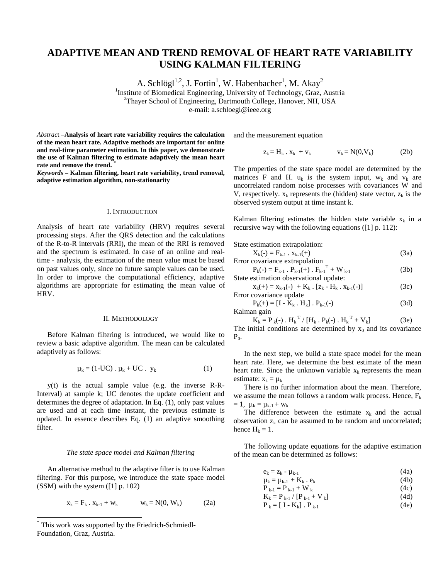# **ADAPTIVE MEAN AND TREND REMOVAL OF HEART RATE VARIABILITY USING KALMAN FILTERING**

A. Schlögl $1,2}$ , J. Fortin<sup>1</sup>, W. Habenbacher<sup>1</sup>, M. Akay<sup>2</sup>

<sup>1</sup>Institute of Biomedical Engineering, University of Technology, Graz, Austria <sup>2</sup>Thouar School of Engineering, Dertmouth Collage, Hanouar, NH, USA

<sup>2</sup>Thayer School of Engineering, Dartmouth College, Hanover, NH, USA

e-mail: a.schloegl@ieee.org

*Abstrac*t –**Analysis of heart rate variability requires the calculation of the mean heart rate. Adaptive methods are important for online and real-time parameter estimation. In this paper, we demonstrate the use of Kalman filtering to estimate adaptively the mean heart rate and remove the trend. \***

*Keywords –* **Kalman filtering, heart rate variability, trend removal, adaptive estimation algorithm, non-stationarity** 

### I. INTRODUCTION

Analysis of heart rate variability (HRV) requires several processing steps. After the QRS detection and the calculations of the R-to-R intervals (RRI), the mean of the RRI is removed and the spectrum is estimated. In case of an online and realtime - analysis, the estimation of the mean value must be based on past values only, since no future sample values can be used. In order to improve the computational efficiency, adaptive algorithms are appropriate for estimating the mean value of HRV.

## II. METHODOLOGY

Before Kalman filtering is introduced, we would like to review a basic adaptive algorithm. The mean can be calculated adaptively as follows:

$$
\mu_k = (1-UC) \cdot \mu_k + UC \cdot y_k \tag{1}
$$

y(t) is the actual sample value (e.g. the inverse R-R-Interval) at sample k; UC denotes the update coefficient and determines the degree of adaptation. In Eq. (1), only past values are used and at each time instant, the previous estimate is updated. In essence describes Eq. (1) an adaptive smoothing filter.

#### *The state space model and Kalman filtering*

An alternative method to the adaptive filter is to use Kalman filtering. For this purpose, we introduce the state space model (SSM) with the system ([1] p. 102)

$$
x_k = F_k \cdot x_{k-1} + w_k \qquad w_k = N(0, W_k) \qquad (2a)
$$

 $\overline{a}$ 

and the measurement equation

$$
z_k = H_k \cdot x_k + v_k \qquad \qquad v_k = N(0, V_k) \tag{2b}
$$

The properties of the state space model are determined by the matrices F and H.  $u_k$  is the system input,  $w_k$  and  $v_k$  are uncorrelated random noise processes with covariances W and V, respectively.  $x_k$  represents the (hidden) state vector,  $z_k$  is the observed system output at time instant k.

Kalman filtering estimates the hidden state variable  $x_k$  in a recursive way with the following equations ([1] p. 112):

State estimation extrapolation:

| $X_k(-) = F_{k-1} \cdot X_{k-1}(+)$ | (3a) |
|-------------------------------------|------|
| Error covariance extrapolation      |      |

$$
P_{k}(\cdot) = F_{k-1} \cdot P_{k-1}(\cdot) \cdot F_{k-1}^T + W_{k-1}
$$
 (3b)  
State estimation observational update:

 $x_k(+) = x_{k-1}(-) + K_k$ .  $[z_k - H_k, x_{k-1}(-)]$  (3c) Error covariance update

$$
P_k(+) = [I - K_k \cdot H_k] \cdot P_{k-1}(-)
$$
\n(3d)

Kalman gain

 $K_k = P_k(-)$ .  $H_k^T / [H_k \cdot P_k(-) \cdot H_k^T + V_k]$  (3e) The initial conditions are determined by  $x_0$  and its covariance  $P_0$ .

In the next step, we build a state space model for the mean heart rate. Here, we determine the best estimate of the mean heart rate. Since the unknown variable  $x_k$  represents the mean estimate:  $x_k = u_k$ 

There is no further information about the mean. Therefore, we assume the mean follows a random walk process. Hence,  $F_k$  $= 1$ ,  $\mu_k = \mu_{k-1} + w_k$ 

The difference between the estimate  $x_k$  and the actual observation  $z_k$  can be assumed to be random and uncorrelated; hence  $H_k = 1$ .

The following update equations for the adaptive estimation of the mean can be determined as follows:

$$
e_k = z_k - \mu_{k-1} \tag{4a}
$$

$$
\mu_{k} = \mu_{k-1} + K_{k} \cdot e_{k}
$$
\n
$$
P_{k-1} = P_{k-1} + W_{k}
$$
\n(4c)

$$
K_{k} = P_{k-1} / [P_{k-1} + V_{k}]
$$
\n(4d)

$$
\mathbf{P}_{k} = \left[ \begin{array}{c} \mathbf{I} \cdot \mathbf{K}_{k} \end{array} \right] \cdot \mathbf{P}_{k-1} \tag{4e}
$$

<sup>\*</sup> This work was supported by the Friedrich-Schmiedl-Foundation, Graz, Austria.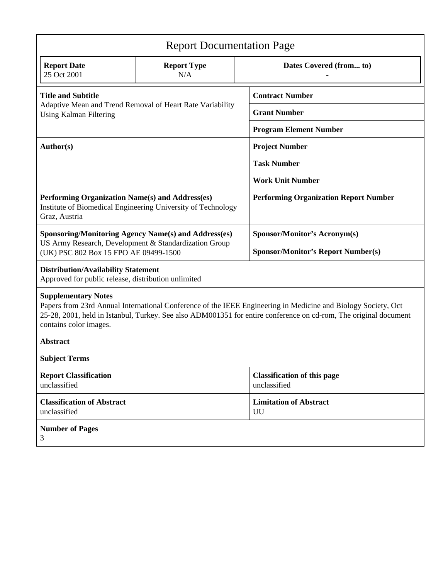| <b>Report Documentation Page</b>                                                                                                                                                                                                                                                          |                                                              |                                                    |
|-------------------------------------------------------------------------------------------------------------------------------------------------------------------------------------------------------------------------------------------------------------------------------------------|--------------------------------------------------------------|----------------------------------------------------|
| <b>Report Date</b><br>25 Oct 2001                                                                                                                                                                                                                                                         | <b>Report Type</b><br>N/A                                    | Dates Covered (from to)                            |
| <b>Title and Subtitle</b><br>Adaptive Mean and Trend Removal of Heart Rate Variability<br><b>Using Kalman Filtering</b>                                                                                                                                                                   |                                                              | <b>Contract Number</b>                             |
|                                                                                                                                                                                                                                                                                           |                                                              | <b>Grant Number</b>                                |
|                                                                                                                                                                                                                                                                                           |                                                              | <b>Program Element Number</b>                      |
| <b>Author(s)</b>                                                                                                                                                                                                                                                                          |                                                              | <b>Project Number</b>                              |
|                                                                                                                                                                                                                                                                                           |                                                              | <b>Task Number</b>                                 |
|                                                                                                                                                                                                                                                                                           |                                                              | <b>Work Unit Number</b>                            |
| Performing Organization Name(s) and Address(es)<br>Graz, Austria                                                                                                                                                                                                                          | Institute of Biomedical Engineering University of Technology | <b>Performing Organization Report Number</b>       |
| <b>Sponsoring/Monitoring Agency Name(s) and Address(es)</b><br>US Army Research, Development & Standardization Group<br>(UK) PSC 802 Box 15 FPO AE 09499-1500                                                                                                                             |                                                              | <b>Sponsor/Monitor's Acronym(s)</b>                |
|                                                                                                                                                                                                                                                                                           |                                                              | <b>Sponsor/Monitor's Report Number(s)</b>          |
| <b>Distribution/Availability Statement</b><br>Approved for public release, distribution unlimited                                                                                                                                                                                         |                                                              |                                                    |
| <b>Supplementary Notes</b><br>Papers from 23rd Annual International Conference of the IEEE Engineering in Medicine and Biology Society, Oct<br>25-28, 2001, held in Istanbul, Turkey. See also ADM001351 for entire conference on cd-rom, The original document<br>contains color images. |                                                              |                                                    |
| <b>Abstract</b>                                                                                                                                                                                                                                                                           |                                                              |                                                    |
| <b>Subject Terms</b>                                                                                                                                                                                                                                                                      |                                                              |                                                    |
| <b>Report Classification</b><br>unclassified                                                                                                                                                                                                                                              |                                                              | <b>Classification of this page</b><br>unclassified |
| <b>Classification of Abstract</b><br>unclassified                                                                                                                                                                                                                                         |                                                              | <b>Limitation of Abstract</b><br>UU                |
| <b>Number of Pages</b><br>3                                                                                                                                                                                                                                                               |                                                              |                                                    |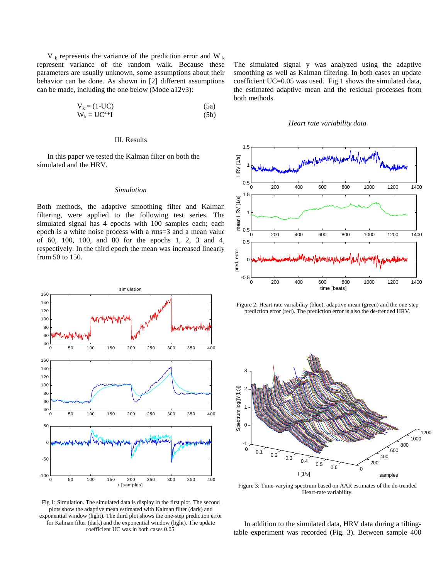$V_k$  represents the variance of the prediction error and W<sub>k</sub> represent variance of the random walk. Because these parameters are usually unknown, some assumptions about their behavior can be done. As shown in [2] different assumptions can be made, including the one below (Mode a12v3):

$$
V_k = (1-UC)
$$
  
\n
$$
W_k = UC^{2*}I
$$
\n(5a)  
\n(5b)

# III. Results

In this paper we tested the Kalman filter on both the simulated and the HRV.

# *Simulation*

Both methods, the adaptive smoothing filter and Kalman filtering, were applied to the following test series. The simulated signal has 4 epochs with 100 samples each; each epoch is a white noise process with a rms=3 and a mean value of 60, 100, 100, and 80 for the epochs 1, 2, 3 and 4, respectively. In the third epoch the mean was increased linearly from 50 to 150.



Fig 1: Simulation. The simulated data is display in the first plot. The second plots show the adaptive mean estimated with Kalman filter (dark) and exponential window (light). The third plot shows the one-step prediction error for Kalman filter (dark) and the exponential window (light). The update coefficient UC was in both cases 0.05.

The simulated signal y was analyzed using the adaptive smoothing as well as Kalman filtering. In both cases an update coefficient UC=0.05 was used. Fig 1 shows the simulated data, the estimated adaptive mean and the residual processes from both methods.

#### *Heart rate variability data*



Figure 2: Heart rate variability (blue), adaptive mean (green) and the one-step prediction error (red). The prediction error is also the de-trended HRV.



Figure 3: Time-varying spectrum based on AAR estimates of the de-trended Heart-rate variability.

In addition to the simulated data, HRV data during a tiltingtable experiment was recorded (Fig. 3). Between sample 400